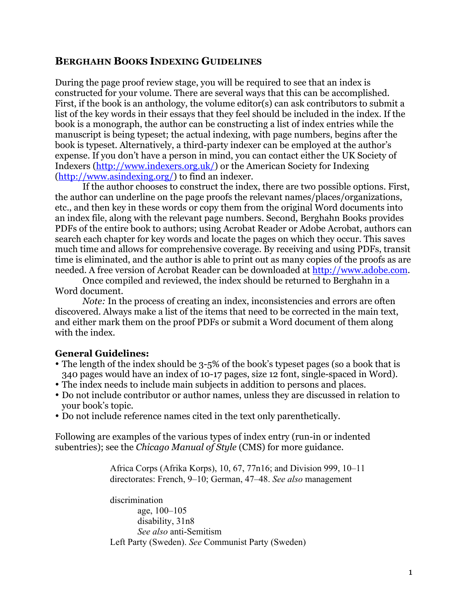# **BERGHAHN BOOKS INDEXING GUIDELINES**

During the page proof review stage, you will be required to see that an index is constructed for your volume. There are several ways that this can be accomplished. First, if the book is an anthology, the volume editor(s) can ask contributors to submit a list of the key words in their essays that they feel should be included in the index. If the book is a monograph, the author can be constructing a list of index entries while the manuscript is being typeset; the actual indexing, with page numbers, begins after the book is typeset. Alternatively, a third-party indexer can be employed at the author's expense. If you don't have a person in mind, you can contact either the UK Society of Indexers (http://www.indexers.org.uk/) or the American Society for Indexing (http://www.asindexing.org/) to find an indexer.

If the author chooses to construct the index, there are two possible options. First, the author can underline on the page proofs the relevant names/places/organizations, etc., and then key in these words or copy them from the original Word documents into an index file, along with the relevant page numbers. Second, Berghahn Books provides PDFs of the entire book to authors; using Acrobat Reader or Adobe Acrobat, authors can search each chapter for key words and locate the pages on which they occur. This saves much time and allows for comprehensive coverage. By receiving and using PDFs, transit time is eliminated, and the author is able to print out as many copies of the proofs as are needed. A free version of Acrobat Reader can be downloaded at http://www.adobe.com.

Once compiled and reviewed, the index should be returned to Berghahn in a Word document.

*Note*: In the process of creating an index, inconsistencies and errors are often discovered. Always make a list of the items that need to be corrected in the main text, and either mark them on the proof PDFs or submit a Word document of them along with the index.

#### **General Guidelines:**

- The length of the index should be 3-5% of the book's typeset pages (so a book that is 340 pages would have an index of 10-17 pages, size 12 font, single-spaced in Word).
- The index needs to include main subjects in addition to persons and places.
- Do not include contributor or author names, unless they are discussed in relation to your book's topic.
- Do not include reference names cited in the text only parenthetically.

Following are examples of the various types of index entry (run-in or indented subentries); see the *Chicago Manual of Style* (CMS) for more guidance.

> Africa Corps (Afrika Korps), 10, 67, 77n16; and Division 999, 10–11 directorates: French, 9–10; German, 47–48. *See also* management

discrimination age, 100–105 disability, 31n8 *See also* anti-Semitism Left Party (Sweden). *See* Communist Party (Sweden)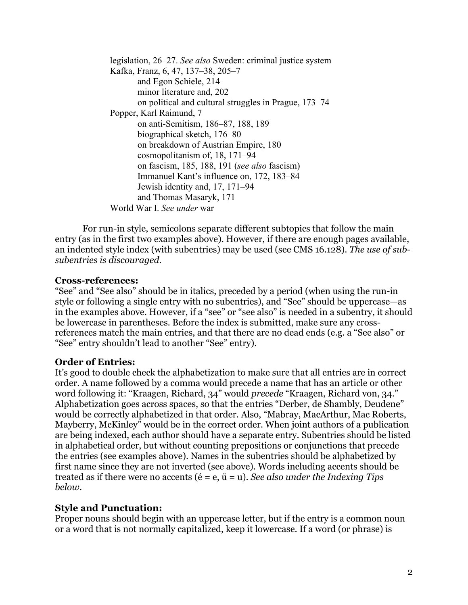legislation, 26–27. *See also* Sweden: criminal justice system Kafka, Franz, 6, 47, 137–38, 205–7 and Egon Schiele, 214 minor literature and, 202 on political and cultural struggles in Prague, 173–74 Popper, Karl Raimund, 7 on anti-Semitism, 186–87, 188, 189 biographical sketch, 176–80 on breakdown of Austrian Empire, 180 cosmopolitanism of, 18, 171–94 on fascism, 185, 188, 191 (*see also* fascism) Immanuel Kant's influence on, 172, 183–84 Jewish identity and, 17, 171–94 and Thomas Masaryk, 171 World War I. *See under* war

For run-in style, semicolons separate different subtopics that follow the main entry (as in the first two examples above). However, if there are enough pages available, an indented style index (with subentries) may be used (see CMS 16.128). *The use of subsubentries is discouraged.*

#### **Cross-references:**

"See" and "See also" should be in italics, preceded by a period (when using the run-in style or following a single entry with no subentries), and "See" should be uppercase—as in the examples above. However, if a "see" or "see also" is needed in a subentry, it should be lowercase in parentheses*.* Before the index is submitted, make sure any crossreferences match the main entries, and that there are no dead ends (e.g. a "See also" or "See" entry shouldn't lead to another "See" entry).

#### **Order of Entries:**

It's good to double check the alphabetization to make sure that all entries are in correct order. A name followed by a comma would precede a name that has an article or other word following it: "Kraagen, Richard, 34" would *precede* "Kraagen, Richard von, 34." Alphabetization goes across spaces, so that the entries "Derber, de Shambly, Deudene" would be correctly alphabetized in that order. Also, "Mabray, MacArthur, Mac Roberts, Mayberry, McKinley" would be in the correct order. When joint authors of a publication are being indexed, each author should have a separate entry. Subentries should be listed in alphabetical order, but without counting prepositions or conjunctions that precede the entries (see examples above). Names in the subentries should be alphabetized by first name since they are not inverted (see above). Words including accents should be treated as if there were no accents (é = e, ü = u). *See also under the Indexing Tips below.*

#### **Style and Punctuation:**

Proper nouns should begin with an uppercase letter, but if the entry is a common noun or a word that is not normally capitalized, keep it lowercase. If a word (or phrase) is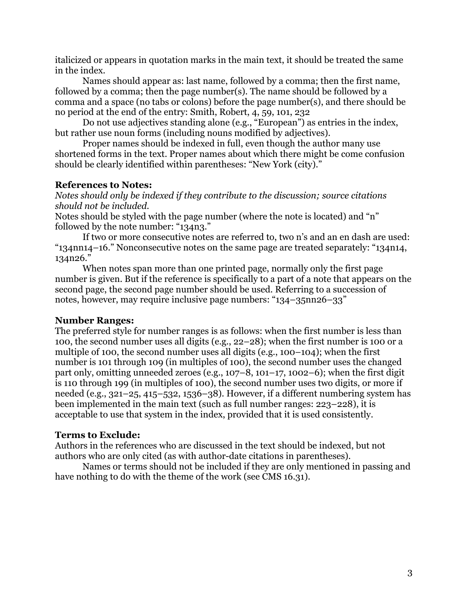italicized or appears in quotation marks in the main text, it should be treated the same in the index.

Names should appear as: last name, followed by a comma; then the first name, followed by a comma; then the page number(s). The name should be followed by a comma and a space (no tabs or colons) before the page number(s), and there should be no period at the end of the entry: Smith, Robert, 4, 59, 101, 232

Do not use adjectives standing alone (e.g., "European") as entries in the index, but rather use noun forms (including nouns modified by adjectives).

Proper names should be indexed in full, even though the author many use shortened forms in the text. Proper names about which there might be come confusion should be clearly identified within parentheses: "New York (city)."

### **References to Notes:**

*Notes should only be indexed if they contribute to the discussion; source citations should not be included.*

Notes should be styled with the page number (where the note is located) and "n" followed by the note number: "134n3."

If two or more consecutive notes are referred to, two n's and an en dash are used: "134nn14–16." Nonconsecutive notes on the same page are treated separately: "134n14, 134n26."

When notes span more than one printed page, normally only the first page number is given. But if the reference is specifically to a part of a note that appears on the second page, the second page number should be used. Referring to a succession of notes, however, may require inclusive page numbers: "134–35nn26–33"

#### **Number Ranges:**

The preferred style for number ranges is as follows: when the first number is less than 100, the second number uses all digits (e.g., 22–28); when the first number is 100 or a multiple of 100, the second number uses all digits (e.g., 100–104); when the first number is 101 through 109 (in multiples of 100), the second number uses the changed part only, omitting unneeded zeroes (e.g.,  $107-8$ ,  $101-17$ ,  $1002-6$ ); when the first digit is 110 through 199 (in multiples of 100), the second number uses two digits, or more if needed (e.g., 321–25, 415–532, 1536–38). However, if a different numbering system has been implemented in the main text (such as full number ranges: 223–228), it is acceptable to use that system in the index, provided that it is used consistently.

# **Terms to Exclude:**

Authors in the references who are discussed in the text should be indexed, but not authors who are only cited (as with author-date citations in parentheses).

Names or terms should not be included if they are only mentioned in passing and have nothing to do with the theme of the work (see CMS 16.31).